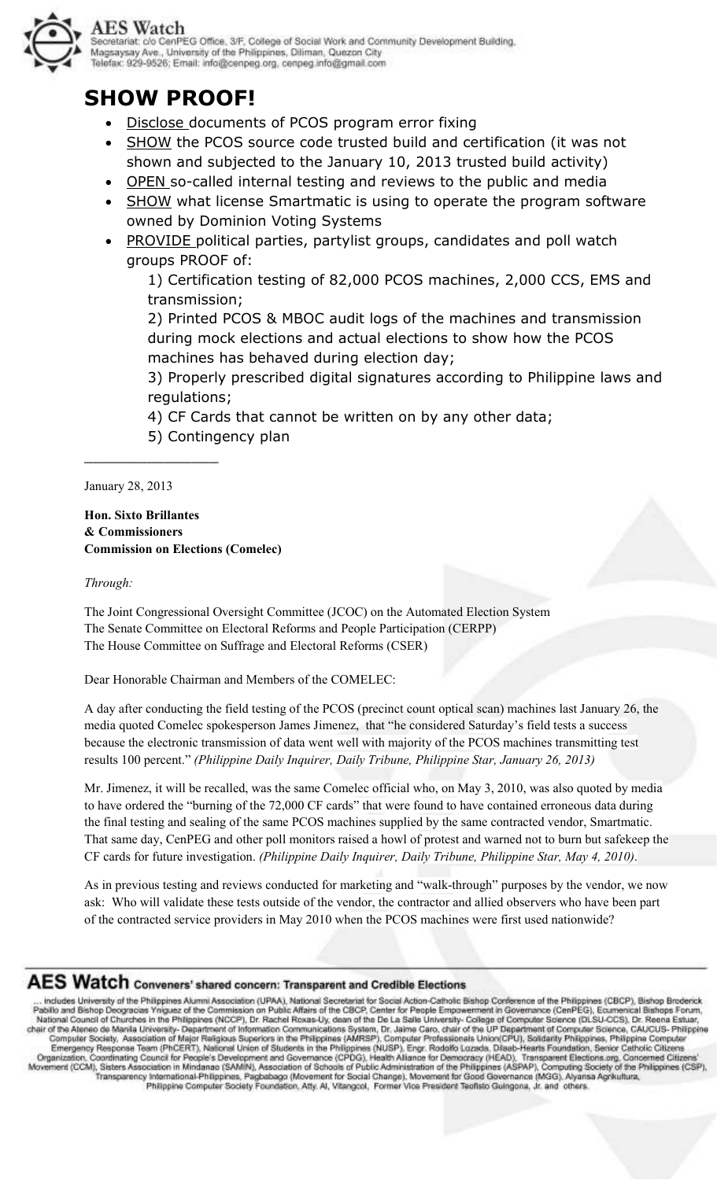

#### ecretariat: c/o CenPEG Office, 3/F, College of Social Work and Community Development Building, Secretariat: Go Cenine G Other, Sr., College of Social Work and Co.<br>Magsaysay Ave., University of the Philippines, Diliman, Quezon City lelefax: 929-9526; Email: info@cenpeg.org, cenpeg.info@gmail.com

# **SHOW PROOF!**

- Disclose documents of PCOS program error fixing
- SHOW the PCOS source code trusted build and certification (it was not shown and subjected to the January 10, 2013 trusted build activity)
- OPEN so-called internal testing and reviews to the public and media
- **SHOW** what license Smartmatic is using to operate the program software owned by Dominion Voting Systems
- PROVIDE political parties, partylist groups, candidates and poll watch groups PROOF of:

1) Certification testing of 82,000 PCOS machines, 2,000 CCS, EMS and transmission;

2) Printed PCOS & MBOC audit logs of the machines and transmission during mock elections and actual elections to show how the PCOS machines has behaved during election day;

3) Properly prescribed digital signatures according to Philippine laws and regulations;

- 4) CF Cards that cannot be written on by any other data;
- 5) Contingency plan

January 28, 2013

\_\_\_\_\_\_\_\_\_\_\_\_\_\_\_

**Hon. Sixto Brillantes & Commissioners Commission on Elections (Comelec)** 

#### *Through:*

The Joint Congressional Oversight Committee (JCOC) on the Automated Election System The Senate Committee on Electoral Reforms and People Participation (CERPP) The House Committee on Suffrage and Electoral Reforms (CSER)

Dear Honorable Chairman and Members of the COMELEC:

A day after conducting the field testing of the PCOS (precinct count optical scan) machines last January 26, the media quoted Comelec spokesperson James Jimenez, that "he considered Saturday's field tests a success because the electronic transmission of data went well with majority of the PCOS machines transmitting test results 100 percent." *(Philippine Daily Inquirer, Daily Tribune, Philippine Star, January 26, 2013)* 

Mr. Jimenez, it will be recalled, was the same Comelec official who, on May 3, 2010, was also quoted by media to have ordered the "burning of the 72,000 CF cards" that were found to have contained erroneous data during the final testing and sealing of the same PCOS machines supplied by the same contracted vendor, Smartmatic. That same day, CenPEG and other poll monitors raised a howl of protest and warned not to burn but safekeep the CF cards for future investigation. *(Philippine Daily Inquirer, Daily Tribune, Philippine Star, May 4, 2010)*.

As in previous testing and reviews conducted for marketing and "walk-through" purposes by the vendor, we now ask: Who will validate these tests outside of the vendor, the contractor and allied observers who have been part of the contracted service providers in May 2010 when the PCOS machines were first used nationwide?

## AES Watch Conveners' shared concern: Transparent and Credible Elections

... includes University of the Philippines Alumni Association (UPAA), National Secretarial for Social Action-Catholic Bishop Conference of the Philippines (CBCP), Bishop Broderick<br>Pabilio and Bishop Deogracias Yniguez of t Computer Society, Association of Major Religious Superiors in the Philippines (AMRSP), Computer Professionals Union(CPU), Solidarity Philippines, Philippine Computer<br>Emergency Response Team (Philippines In the Philippines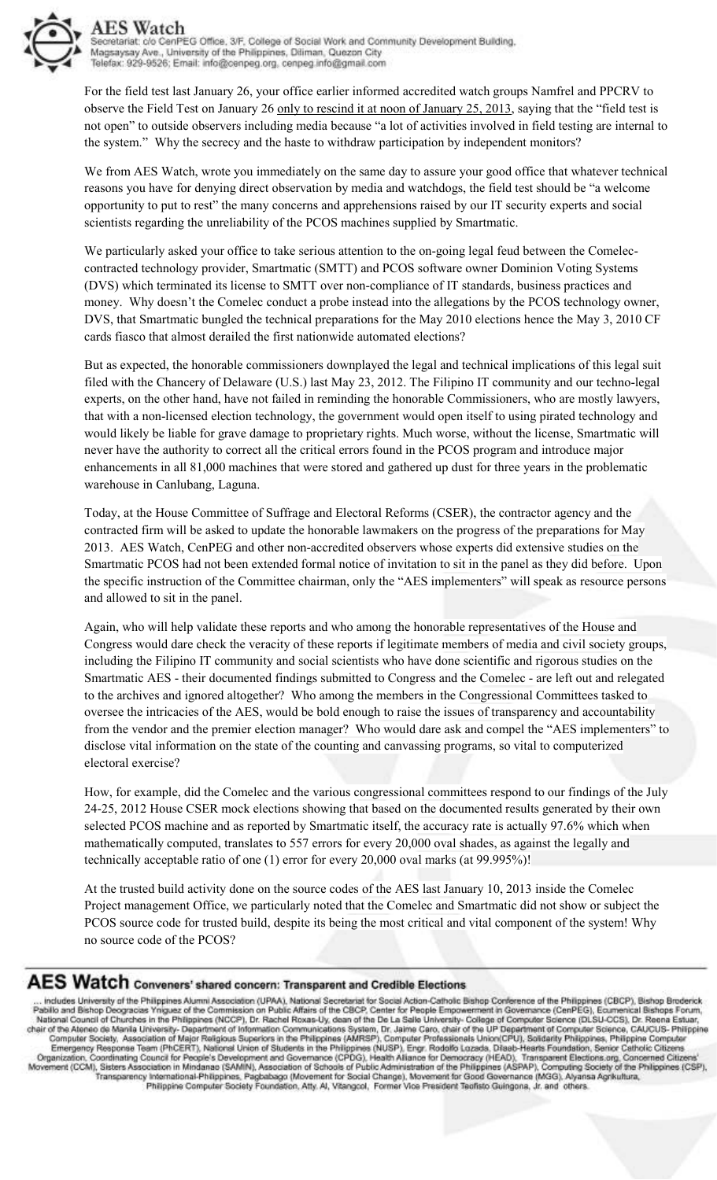

For the field test last January 26, your office earlier informed accredited watch groups Namfrel and PPCRV to observe the Field Test on January 26 only to rescind it at noon of January 25, 2013, saying that the "field test is not open" to outside observers including media because "a lot of activities involved in field testing are internal to the system." Why the secrecy and the haste to withdraw participation by independent monitors?

We from AES Watch, wrote you immediately on the same day to assure your good office that whatever technical reasons you have for denying direct observation by media and watchdogs, the field test should be "a welcome opportunity to put to rest" the many concerns and apprehensions raised by our IT security experts and social scientists regarding the unreliability of the PCOS machines supplied by Smartmatic.

We particularly asked your office to take serious attention to the on-going legal feud between the Comeleccontracted technology provider, Smartmatic (SMTT) and PCOS software owner Dominion Voting Systems (DVS) which terminated its license to SMTT over non-compliance of IT standards, business practices and money. Why doesn't the Comelec conduct a probe instead into the allegations by the PCOS technology owner, DVS, that Smartmatic bungled the technical preparations for the May 2010 elections hence the May 3, 2010 CF cards fiasco that almost derailed the first nationwide automated elections?

But as expected, the honorable commissioners downplayed the legal and technical implications of this legal suit filed with the Chancery of Delaware (U.S.) last May 23, 2012. The Filipino IT community and our techno-legal experts, on the other hand, have not failed in reminding the honorable Commissioners, who are mostly lawyers, that with a non-licensed election technology, the government would open itself to using pirated technology and would likely be liable for grave damage to proprietary rights. Much worse, without the license, Smartmatic will never have the authority to correct all the critical errors found in the PCOS program and introduce major enhancements in all 81,000 machines that were stored and gathered up dust for three years in the problematic warehouse in Canlubang, Laguna.

Today, at the House Committee of Suffrage and Electoral Reforms (CSER), the contractor agency and the contracted firm will be asked to update the honorable lawmakers on the progress of the preparations for May 2013. AES Watch, CenPEG and other non-accredited observers whose experts did extensive studies on the Smartmatic PCOS had not been extended formal notice of invitation to sit in the panel as they did before. Upon the specific instruction of the Committee chairman, only the "AES implementers" will speak as resource persons and allowed to sit in the panel.

Again, who will help validate these reports and who among the honorable representatives of the House and Congress would dare check the veracity of these reports if legitimate members of media and civil society groups, including the Filipino IT community and social scientists who have done scientific and rigorous studies on the Smartmatic AES - their documented findings submitted to Congress and the Comelec - are left out and relegated to the archives and ignored altogether? Who among the members in the Congressional Committees tasked to oversee the intricacies of the AES, would be bold enough to raise the issues of transparency and accountability from the vendor and the premier election manager? Who would dare ask and compel the "AES implementers" to disclose vital information on the state of the counting and canvassing programs, so vital to computerized electoral exercise?

How, for example, did the Comelec and the various congressional committees respond to our findings of the July 24-25, 2012 House CSER mock elections showing that based on the documented results generated by their own selected PCOS machine and as reported by Smartmatic itself, the accuracy rate is actually 97.6% which when mathematically computed, translates to 557 errors for every 20,000 oval shades, as against the legally and technically acceptable ratio of one (1) error for every 20,000 oval marks (at 99.995%)!

At the trusted build activity done on the source codes of the AES last January 10, 2013 inside the Comelec Project management Office, we particularly noted that the Comelec and Smartmatic did not show or subject the PCOS source code for trusted build, despite its being the most critical and vital component of the system! Why no source code of the PCOS?

## AES Watch Conveners' shared concern: Transparent and Credible Elections

... includes University of the Philippines Alumni Association (UPAA), National Secretariat for Social Action-Catholic Bishop Conference of the Philippines (CBCP), Bishop Broderick<br>Pabilio and Bishop Decoracias Yniguez of t CAUCUS-Philippine Emergency Response Team (PICERT), National Union of Students in the Philippines (NUSP), Engr. Rodolfo Lozada, Dilast-Hearts Foundation, Senior Catholic Citizens<br>Organization, Coordinating Council for People's Development a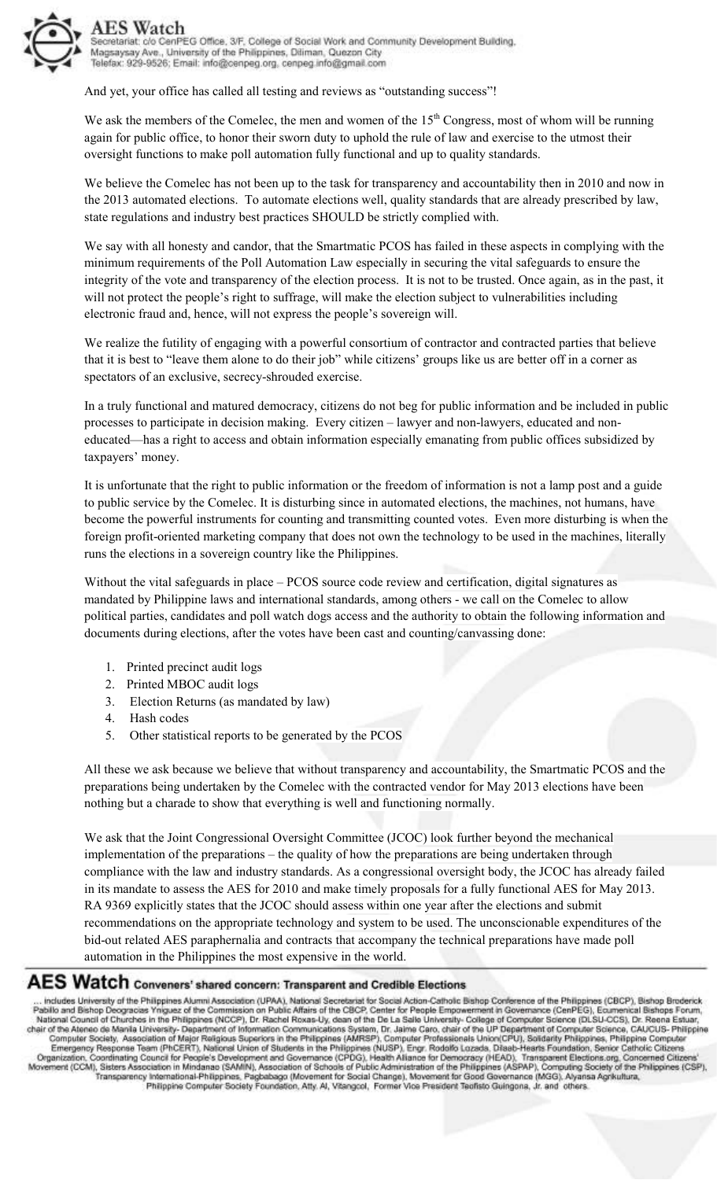

AES Watch Secretariat: c/o CenPEG Office, 3/F, College of Social Work and Community Development Building, Magsaysay Ave., University of the Philippines, Diliman, Quezon City Telefax: 929-9526; Email: info@cenpeg.org, cenpeg.info@gmail.com

And yet, your office has called all testing and reviews as "outstanding success"!

We ask the members of the Comelec, the men and women of the  $15<sup>th</sup>$  Congress, most of whom will be running again for public office, to honor their sworn duty to uphold the rule of law and exercise to the utmost their oversight functions to make poll automation fully functional and up to quality standards.

We believe the Comelec has not been up to the task for transparency and accountability then in 2010 and now in the 2013 automated elections. To automate elections well, quality standards that are already prescribed by law, state regulations and industry best practices SHOULD be strictly complied with.

We say with all honesty and candor, that the Smartmatic PCOS has failed in these aspects in complying with the minimum requirements of the Poll Automation Law especially in securing the vital safeguards to ensure the integrity of the vote and transparency of the election process. It is not to be trusted. Once again, as in the past, it will not protect the people's right to suffrage, will make the election subject to vulnerabilities including electronic fraud and, hence, will not express the people's sovereign will.

We realize the futility of engaging with a powerful consortium of contractor and contracted parties that believe that it is best to "leave them alone to do their job" while citizens' groups like us are better off in a corner as spectators of an exclusive, secrecy-shrouded exercise.

In a truly functional and matured democracy, citizens do not beg for public information and be included in public processes to participate in decision making. Every citizen – lawyer and non-lawyers, educated and noneducated—has a right to access and obtain information especially emanating from public offices subsidized by taxpayers' money.

It is unfortunate that the right to public information or the freedom of information is not a lamp post and a guide to public service by the Comelec. It is disturbing since in automated elections, the machines, not humans, have become the powerful instruments for counting and transmitting counted votes. Even more disturbing is when the foreign profit-oriented marketing company that does not own the technology to be used in the machines, literally runs the elections in a sovereign country like the Philippines.

Without the vital safeguards in place – PCOS source code review and certification, digital signatures as mandated by Philippine laws and international standards, among others - we call on the Comelec to allow political parties, candidates and poll watch dogs access and the authority to obtain the following information and documents during elections, after the votes have been cast and counting/canvassing done:

- 1. Printed precinct audit logs
- 2. Printed MBOC audit logs
- 3. Election Returns (as mandated by law)
- 4. Hash codes
- 5. Other statistical reports to be generated by the PCOS

All these we ask because we believe that without transparency and accountability, the Smartmatic PCOS and the preparations being undertaken by the Comelec with the contracted vendor for May 2013 elections have been nothing but a charade to show that everything is well and functioning normally.

We ask that the Joint Congressional Oversight Committee (JCOC) look further beyond the mechanical implementation of the preparations – the quality of how the preparations are being undertaken through compliance with the law and industry standards. As a congressional oversight body, the JCOC has already failed in its mandate to assess the AES for 2010 and make timely proposals for a fully functional AES for May 2013. RA 9369 explicitly states that the JCOC should assess within one year after the elections and submit recommendations on the appropriate technology and system to be used. The unconscionable expenditures of the bid-out related AES paraphernalia and contracts that accompany the technical preparations have made poll automation in the Philippines the most expensive in the world.

#### AES Watch Conveners' shared concern: Transparent and Credible Elections

... includes University of the Philippines Alumni Association (UPAA), National Secretariat for Social Action-Catholic Bishop Conference of the Philippines (CBCP), Bishop Broderick<br>Pabilio and Bishop Decoracias Yniguez of t CAUCUS-Philippine Emergency Response Team (PICERT), National Union of Students in the Philippines (NUSP), Engr. Rodolfo Lazada, Dilaab-Hearts Foundation, Senice Catholic Citizens<br>Organization, Coordinating Council for People's Development a